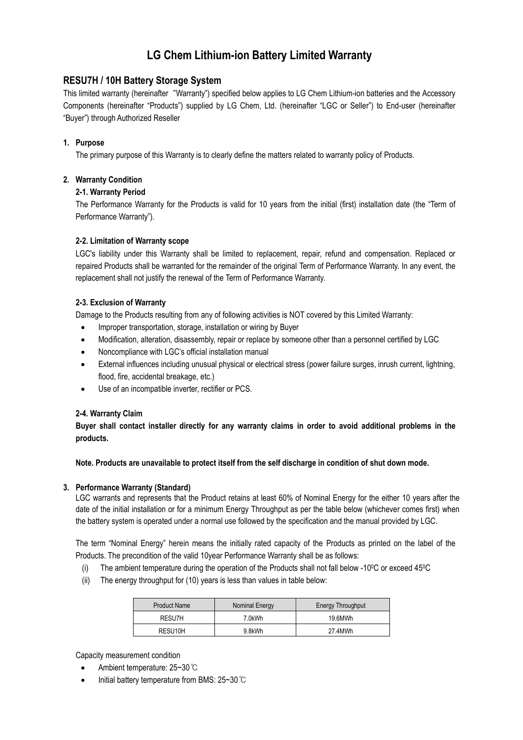# **LG Chem Lithium-ion Battery Limited Warranty**

## **RESU7H / 10H Battery Storage System**

This limited warranty (hereinafter "Warranty") specified below applies to LG Chem Lithium-ion batteries and the Accessory Components (hereinafter "Products") supplied by LG Chem, Ltd. (hereinafter "LGC or Seller") to End-user (hereinafter "Buyer") through Authorized Reseller

## **1. Purpose**

The primary purpose of this Warranty is to clearly define the matters related to warranty policy of Products.

## **2. Warranty Condition**

## **2-1. Warranty Period**

The Performance Warranty for the Products is valid for 10 years from the initial (first) installation date (the "Term of Performance Warranty").

## **2-2. Limitation of Warranty scope**

LGC's liability under this Warranty shall be limited to replacement, repair, refund and compensation. Replaced or repaired Products shall be warranted for the remainder of the original Term of Performance Warranty. In any event, the replacement shall not justify the renewal of the Term of Performance Warranty.

#### **2-3. Exclusion of Warranty**

Damage to the Products resulting from any of following activities is NOT covered by this Limited Warranty:

- Improper transportation, storage, installation or wiring by Buyer
- Modification, alteration, disassembly, repair or replace by someone other than a personnel certified by LGC
- Noncompliance with LGC's official installation manual
- External influences including unusual physical or electrical stress (power failure surges, inrush current, lightning, flood, fire, accidental breakage, etc.)
- Use of an incompatible inverter, rectifier or PCS.

#### **2-4. Warranty Claim**

**Buyer shall contact installer directly for any warranty claims in order to avoid additional problems in the products.**

**Note. Products are unavailable to protect itself from the self discharge in condition of shut down mode.**

#### **3. Performance Warranty (Standard)**

LGC warrants and represents that the Product retains at least 60% of Nominal Energy for the either 10 years after the date of the initial installation or for a minimum Energy Throughput as per the table below (whichever comes first) when the battery system is operated under a normal use followed by the specification and the manual provided by LGC.

The term "Nominal Energy" herein means the initially rated capacity of the Products as printed on the label of the Products. The precondition of the valid 10year Performance Warranty shall be as follows:

- (i) The ambient temperature during the operation of the Products shall not fall below -10 $\degree$ C or exceed 45 $\degree$ C
- (ii) The energy throughput for (10) years is less than values in table below:

| <b>Product Name</b> | Nominal Energy | Energy Throughput |
|---------------------|----------------|-------------------|
| RESU7H              | 7.0kWh         | 19.6MWh           |
| RESU10H             | 9.8kWh         | 27 4MWh           |

Capacity measurement condition

- Ambient temperature: 25~30℃
- Initial battery temperature from BMS: 25~30℃